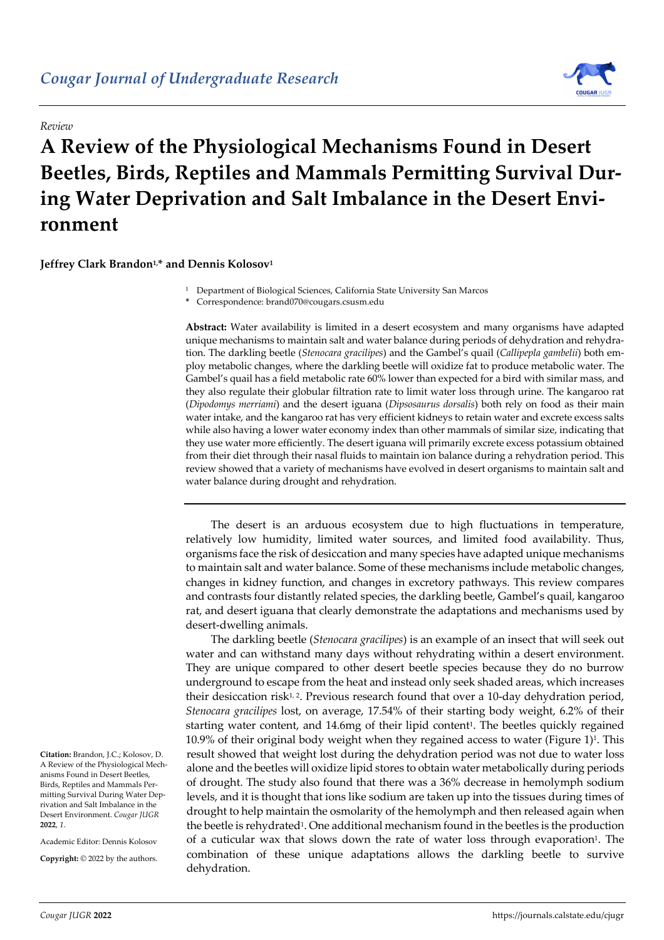

## **A Review of the Physiological Mechanisms Found in Desert Beetles, Birds, Reptiles and Mammals Permitting Survival During Water Deprivation and Salt Imbalance in the Desert Environment**

**Jeffrey Clark Brandon1, \* and Dennis Kolosov1**

*Review*

<sup>1</sup> Department of Biological Sciences, California State University San Marcos

**\*** Correspondence: brand070@cougars.csusm.edu

**Abstract:** Water availability is limited in a desert ecosystem and many organisms have adapted unique mechanisms to maintain salt and water balance during periods of dehydration and rehydration. The darkling beetle (*Stenocara gracilipes*) and the Gambel's quail (*Callipepla gambelii*) both employ metabolic changes, where the darkling beetle will oxidize fat to produce metabolic water. The Gambel's quail has a field metabolic rate 60% lower than expected for a bird with similar mass, and they also regulate their globular filtration rate to limit water loss through urine. The kangaroo rat (*Dipodomys merriami*) and the desert iguana (*Dipsosaurus dorsalis*) both rely on food as their main water intake, and the kangaroo rat has very efficient kidneys to retain water and excrete excess salts while also having a lower water economy index than other mammals of similar size, indicating that they use water more efficiently. The desert iguana will primarily excrete excess potassium obtained from their diet through their nasal fluids to maintain ion balance during a rehydration period. This review showed that a variety of mechanisms have evolved in desert organisms to maintain salt and water balance during drought and rehydration.

The desert is an arduous ecosystem due to high fluctuations in temperature, relatively low humidity, limited water sources, and limited food availability. Thus, organisms face the risk of desiccation and many species have adapted unique mechanisms to maintain salt and water balance. Some of these mechanisms include metabolic changes, changes in kidney function, and changes in excretory pathways. This review compares and contrasts four distantly related species, the darkling beetle, Gambel's quail, kangaroo rat, and desert iguana that clearly demonstrate the adaptations and mechanisms used by desert-dwelling animals.

The darkling beetle (*Stenocara gracilipes*) is an example of an insect that will seek out water and can withstand many days without rehydrating within a desert environment. They are unique compared to other desert beetle species because they do no burrow underground to escape from the heat and instead only seek shaded areas, which increases their desiccation risk $1, 2$ . Previous research found that over a 10-day dehydration period, *Stenocara gracilipes* lost, on average, 17.54% of their starting body weight, 6.2% of their starting water content, and 14.6mg of their lipid content<sup>1</sup>. The beetles quickly regained  $10.9\%$  of their original body weight when they regained access to water (Figure 1)<sup>1</sup>. This result showed that weight lost during the dehydration period was not due to water loss alone and the beetles will oxidize lipid stores to obtain water metabolically during periods of drought. The study also found that there was a 36% decrease in hemolymph sodium levels, and it is thought that ions like sodium are taken up into the tissues during times of drought to help maintain the osmolarity of the hemolymph and then released again when the beetle is rehydrated1. One additional mechanism found in the beetles is the production of a cuticular wax that slows down the rate of water loss through evaporation1. The combination of these unique adaptations allows the darkling beetle to survive dehydration.

**Citation:** Brandon, J.C.; Kolosov, D. A Review of the Physiological Mechanisms Found in Desert Beetles, Birds, Reptiles and Mammals Permitting Survival During Water Deprivation and Salt Imbalance in the Desert Environment. *Cougar JUGR*  **2022**, *1*.

Academic Editor: Dennis Kolosov

**Copyright:** © 2022 by the authors.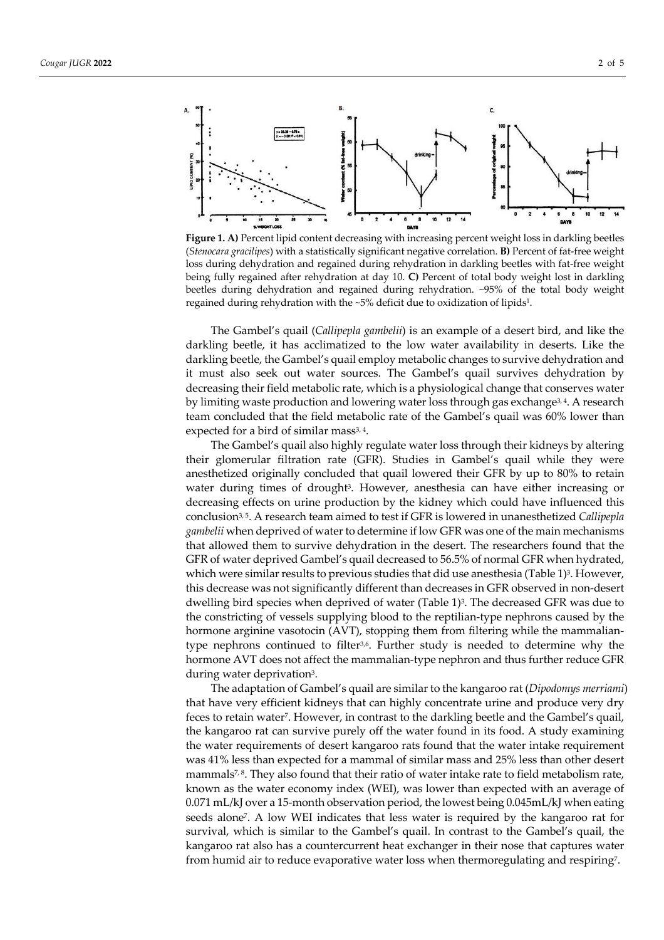

Figure 1. A) Percent lipid content decreasing with increasing percent weight loss in darkling beetles (*Stenocara gracilipes*) with a statistically significant negative correlation. **B)** Percent of fat-free weight loss during dehydration and regained during rehydration in darkling beetles with fat-free weight being fully regained after rehydration at day 10. **C)** Percent of total body weight lost in darkling beetles during dehydration and regained during rehydration. ~95% of the total body weight regained during rehydration with the ~5% deficit due to oxidization of lipids1.

The Gambel's quail (*Callipepla gambelii*) is an example of a desert bird, and like the darkling beetle, it has acclimatized to the low water availability in deserts. Like the darkling beetle, the Gambel's quail employ metabolic changes to survive dehydration and it must also seek out water sources. The Gambel's quail survives dehydration by decreasing their field metabolic rate, which is a physiological change that conserves water by limiting waste production and lowering water loss through gas exchange<sup>3,4</sup>. A research team concluded that the field metabolic rate of the Gambel's quail was 60% lower than expected for a bird of similar mass<sup>3, 4</sup>.

The Gambel's quail also highly regulate water loss through their kidneys by altering their glomerular filtration rate (GFR). Studies in Gambel's quail while they were anesthetized originally concluded that quail lowered their GFR by up to 80% to retain water during times of drought<sup>3</sup>. However, anesthesia can have either increasing or decreasing effects on urine production by the kidney which could have influenced this conclusion3, 5. A research team aimed to test if GFR is lowered in unanesthetized *Callipepla gambelii* when deprived of water to determine if low GFR was one of the main mechanisms that allowed them to survive dehydration in the desert. The researchers found that the GFR of water deprived Gambel's quail decreased to 56.5% of normal GFR when hydrated, which were similar results to previous studies that did use anesthesia (Table 1)<sup>3</sup>. However, this decrease was not significantly different than decreases in GFR observed in non-desert dwelling bird species when deprived of water (Table 1)<sup>3</sup>. The decreased GFR was due to the constricting of vessels supplying blood to the reptilian-type nephrons caused by the hormone arginine vasotocin (AVT), stopping them from filtering while the mammaliantype nephrons continued to filter<sup>3,6</sup>. Further study is needed to determine why the hormone AVT does not affect the mammalian-type nephron and thus further reduce GFR during water deprivation<sup>3</sup>.

The adaptation of Gambel's quail are similar to the kangaroo rat (*Dipodomys merriami*) that have very efficient kidneys that can highly concentrate urine and produce very dry feces to retain water7. However, in contrast to the darkling beetle and the Gambel's quail, the kangaroo rat can survive purely off the water found in its food. A study examining the water requirements of desert kangaroo rats found that the water intake requirement was 41% less than expected for a mammal of similar mass and 25% less than other desert mammals<sup>7, 8</sup>. They also found that their ratio of water intake rate to field metabolism rate, known as the water economy index (WEI), was lower than expected with an average of 0.071 mL/kJ over a 15-month observation period, the lowest being 0.045mL/kJ when eating seeds alone7. A low WEI indicates that less water is required by the kangaroo rat for survival, which is similar to the Gambel's quail. In contrast to the Gambel's quail, the kangaroo rat also has a countercurrent heat exchanger in their nose that captures water from humid air to reduce evaporative water loss when thermoregulating and respiring7.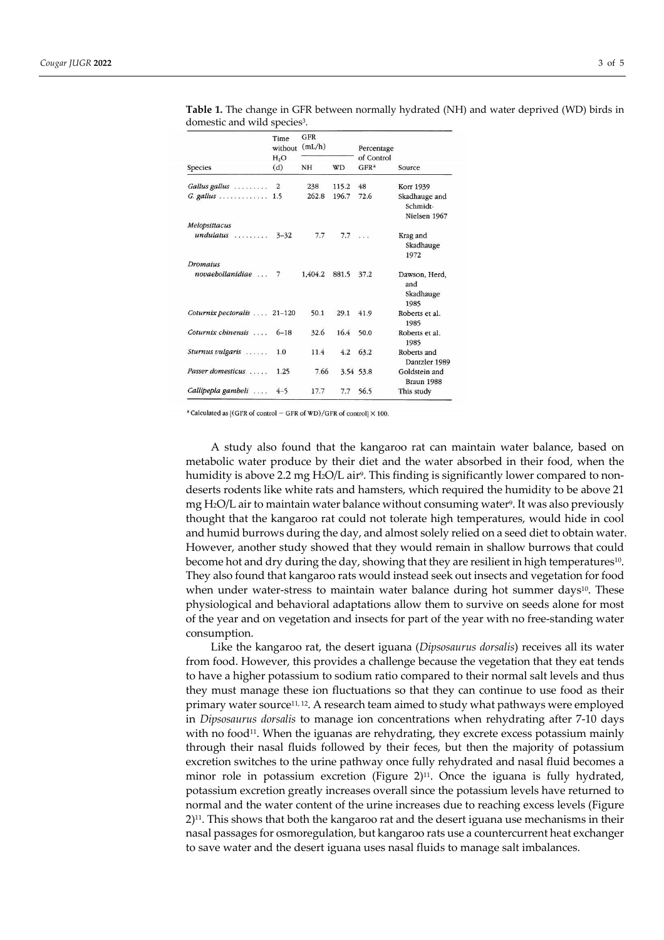|                     | Time<br>without<br>H <sub>2</sub> O<br>(d) | GFR<br>(mL/h) |           | Percentage                     |                                           |  |
|---------------------|--------------------------------------------|---------------|-----------|--------------------------------|-------------------------------------------|--|
| Species             |                                            | <b>NH</b>     | <b>WD</b> | of Control<br>GFR <sup>a</sup> | Source                                    |  |
| Gallus gallus       | 2                                          | 238           | 115.2     | 48                             | Korr 1939                                 |  |
| $G.$ gallus         | 1.5                                        | 262.8         | 196.7     | 72.6                           | Skadhauge and<br>Schmidt-<br>Nielsen 1967 |  |
| Melopsittacus       |                                            |               |           |                                |                                           |  |
| $undulatus$         | $3 - 32$                                   | 7.7           | 7.7       |                                | Krag and<br>Skadhauge<br>1972             |  |
| <b>Dromaius</b>     |                                            |               |           |                                |                                           |  |
| novaebollanidiae  7 |                                            | 1.404.2       | 881.5     | 37.2                           | Dawson, Herd,                             |  |
|                     |                                            |               |           |                                | and<br>Skadhauge<br>1985                  |  |
| Coturnix pectoralis | $21 - 120$                                 | 50.1          | 29.1      | 41.9                           | Roberts et al.<br>1985                    |  |
| Coturnix chinensis  | $6 - 18$                                   | 32.6          | 16.4      | 50.0                           | Roberts et al.<br>1985                    |  |
| Sturnus vulgaris    | 1.0                                        | 11.4          | 4.2       | 63.2                           | Roberts and<br>Dantzler 1989              |  |
| Passer domesticus   | 1.25                                       | 7.66          |           | 3.54 53.8                      | Goldstein and<br>Braun 1988               |  |
| Callipepla gambeli  | $4 - 5$                                    | 17.7          | 7.7       | 56.5                           | This study                                |  |

**Table 1.** The change in GFR between normally hydrated (NH) and water deprived (WD) birds in domestic and wild species<sup>3</sup>.

 $^{\circ}$  Calculated as [(GFR of control - GFR of WD)/GFR of control]  $\times$  100.

A study also found that the kangaroo rat can maintain water balance, based on metabolic water produce by their diet and the water absorbed in their food, when the humidity is above 2.2 mg  $H_2O/L$  air<sup>9</sup>. This finding is significantly lower compared to nondeserts rodents like white rats and hamsters, which required the humidity to be above 21 mg H2O/L air to maintain water balance without consuming water9. It was also previously thought that the kangaroo rat could not tolerate high temperatures, would hide in cool and humid burrows during the day, and almost solely relied on a seed diet to obtain water. However, another study showed that they would remain in shallow burrows that could become hot and dry during the day, showing that they are resilient in high temperatures $10$ . They also found that kangaroo rats would instead seek out insects and vegetation for food when under water-stress to maintain water balance during hot summer days<sup>10</sup>. These physiological and behavioral adaptations allow them to survive on seeds alone for most of the year and on vegetation and insects for part of the year with no free-standing water consumption.

Like the kangaroo rat, the desert iguana (*Dipsosaurus dorsalis*) receives all its water from food. However, this provides a challenge because the vegetation that they eat tends to have a higher potassium to sodium ratio compared to their normal salt levels and thus they must manage these ion fluctuations so that they can continue to use food as their primary water source11, 12. A research team aimed to study what pathways were employed in *Dipsosaurus dorsalis* to manage ion concentrations when rehydrating after 7-10 days with no food<sup>11</sup>. When the iguanas are rehydrating, they excrete excess potassium mainly through their nasal fluids followed by their feces, but then the majority of potassium excretion switches to the urine pathway once fully rehydrated and nasal fluid becomes a minor role in potassium excretion (Figure 2) $^{11}$ . Once the iguana is fully hydrated, potassium excretion greatly increases overall since the potassium levels have returned to normal and the water content of the urine increases due to reaching excess levels (Figure  $2)$ <sup>11</sup>. This shows that both the kangaroo rat and the desert iguana use mechanisms in their nasal passages for osmoregulation, but kangaroo rats use a countercurrent heat exchanger to save water and the desert iguana uses nasal fluids to manage salt imbalances.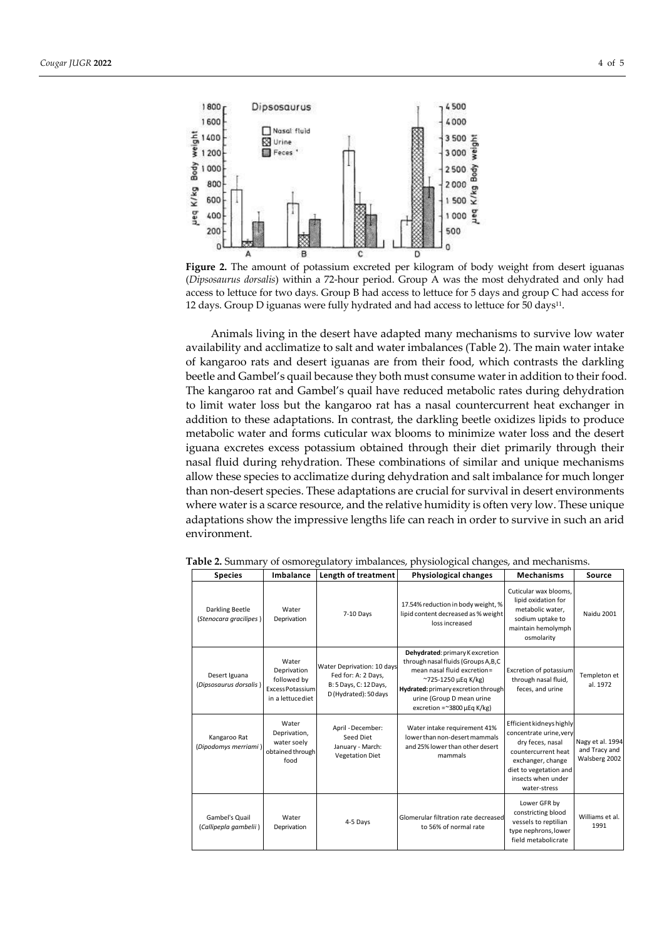

**Figure 2.** The amount of potassium excreted per kilogram of body weight from desert iguanas (*Dipsosaurus dorsalis*) within a 72-hour period. Group A was the most dehydrated and only had access to lettuce for two days. Group B had access to lettuce for 5 days and group C had access for 12 days. Group D iguanas were fully hydrated and had access to lettuce for 50 days11.

Animals living in the desert have adapted many mechanisms to survive low water availability and acclimatize to salt and water imbalances (Table 2). The main water intake of kangaroo rats and desert iguanas are from their food, which contrasts the darkling beetle and Gambel's quail because they both must consume water in addition to their food. The kangaroo rat and Gambel's quail have reduced metabolic rates during dehydration to limit water loss but the kangaroo rat has a nasal countercurrent heat exchanger in addition to these adaptations. In contrast, the darkling beetle oxidizes lipids to produce metabolic water and forms cuticular wax blooms to minimize water loss and the desert iguana excretes excess potassium obtained through their diet primarily through their nasal fluid during rehydration. These combinations of similar and unique mechanisms allow these species to acclimatize during dehydration and salt imbalance for much longer than non-desert species. These adaptations are crucial for survival in desert environments where water is a scarce resource, and the relative humidity is often very low. These unique adaptations show the impressive lengths life can reach in order to survive in such an arid environment.

| <b>Species</b>                                   | Imbalance                                                                    | Length of treatment                                                                                  | <b>Physiological changes</b>                                                                                                                                                                                                              | <b>Mechanisms</b>                                                                                                                                                                  | Source                                             |
|--------------------------------------------------|------------------------------------------------------------------------------|------------------------------------------------------------------------------------------------------|-------------------------------------------------------------------------------------------------------------------------------------------------------------------------------------------------------------------------------------------|------------------------------------------------------------------------------------------------------------------------------------------------------------------------------------|----------------------------------------------------|
| <b>Darkling Beetle</b><br>(Stenocara gracilipes) | Water<br>Deprivation                                                         | 7-10 Days                                                                                            | 17.54% reduction in body weight, %<br>lipid content decreased as % weight<br>loss increased                                                                                                                                               | Cuticular wax blooms.<br>lipid oxidation for<br>metabolic water,<br>sodium uptake to<br>maintain hemolymph<br>osmolarity                                                           | <b>Naidu 2001</b>                                  |
| Desert Iguana<br>(Dipsosaurus dorsalis)          | Water<br>Deprivation<br>followed by<br>Excess Potassium<br>in a lettuce diet | Water Deprivation: 10 days<br>Fed for: A: 2 Days,<br>B: 5 Days, C: 12 Days,<br>D (Hydrated): 50 days | Dehydrated: primary K excretion<br>through nasal fluids (Groups A, B, C<br>mean nasal fluid excretion=<br>~725-1250 µEq K/kg)<br>Hydrated: primary excretion through<br>urine (Group D mean urine<br>excretion = $\approx$ 3800 µEq K/kg) | Excretion of potassium<br>through nasal fluid,<br>feces, and urine                                                                                                                 | Templeton et<br>al. 1972                           |
| Kangaroo Rat<br>(Dipodomys merriami)             | Water<br>Deprivation,<br>water soely<br>obtained through<br>food             | April - December:<br>Seed Diet<br>January - March:<br><b>Vegetation Diet</b>                         | Water intake requirement 41%<br>lower than non-desert mammals<br>and 25% lower than other desert<br>mammals                                                                                                                               | Efficient kidneys highly<br>concentrate urine.verv<br>dry feces, nasal<br>countercurrent heat<br>exchanger, change<br>diet to vegetation and<br>insects when under<br>water-stress | Nagy et al. 1994<br>and Tracy and<br>Walsberg 2002 |
| Gambel's Quail<br>(Callipepla gambelii)          | Water<br>Deprivation                                                         | 4-5 Days                                                                                             | Glomerular filtration rate decreased<br>to 56% of normal rate                                                                                                                                                                             | Lower GFR by<br>constricting blood<br>vessels to reptilian<br>type nephrons, lower<br>field metabolicrate                                                                          | Williams et al.<br>1991                            |

**Table 2.** Summary of osmoregulatory imbalances, physiological changes, and mechanisms.